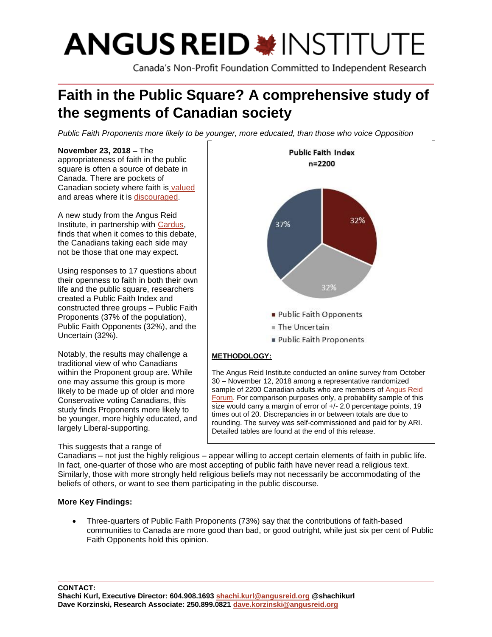# **ANGUS REID \* INSTITUTE**

Canada's Non-Profit Foundation Committed to Independent Research

# **Faith in the Public Square? A comprehensive study of the segments of Canadian society**

*Public Faith Proponents more likely to be younger, more educated, than those who voice Opposition*

#### **November 23, 2018 –** The appropriateness of faith in the public square is often a source of debate in Canada. There are pockets of Canadian society where faith is [valued](http://angusreid.org/faith-canada-immigration/) and areas where it is [discouraged.](http://angusreid.org/public-prayer/)

A new study from the Angus Reid Institute, in partnership with [Cardus,](http://www.cardus.ca/) finds that when it comes to this debate, the Canadians taking each side may not be those that one may expect.

Using responses to 17 questions about their openness to faith in both their own life and the public square, researchers created a Public Faith Index and constructed three groups – Public Faith Proponents (37% of the population), Public Faith Opponents (32%), and the Uncertain (32%).

Notably, the results may challenge a traditional view of who Canadians within the Proponent group are. While one may assume this group is more likely to be made up of older and more Conservative voting Canadians, this study finds Proponents more likely to be younger, more highly educated, and largely Liberal-supporting.

# This suggests that a range of



The Angus Reid Institute conducted an online survey from October 30 – November 12, 2018 among a representative randomized sample of 2200 Canadian adults who are members of [Angus](http://www.angusreidforum.com/) Reid Forum. For comparison purposes only, a probability sample of this size would carry a margin of error of +/- 2.0 percentage points, 19 times out of 20. Discrepancies in or between totals are due to rounding. The survey was self-commissioned and paid for by ARI. Detailed tables are found at the end of this release.

Canadians – not just the highly religious – appear willing to accept certain elements of faith in public life. In fact, one-quarter of those who are most accepting of public faith have never read a religious text. Similarly, those with more strongly held religious beliefs may not necessarily be accommodating of the beliefs of others, or want to see them participating in the public discourse.

# **More Key Findings:**

• Three-quarters of Public Faith Proponents (73%) say that the contributions of faith-based communities to Canada are more good than bad, or good outright, while just six per cent of Public Faith Opponents hold this opinion.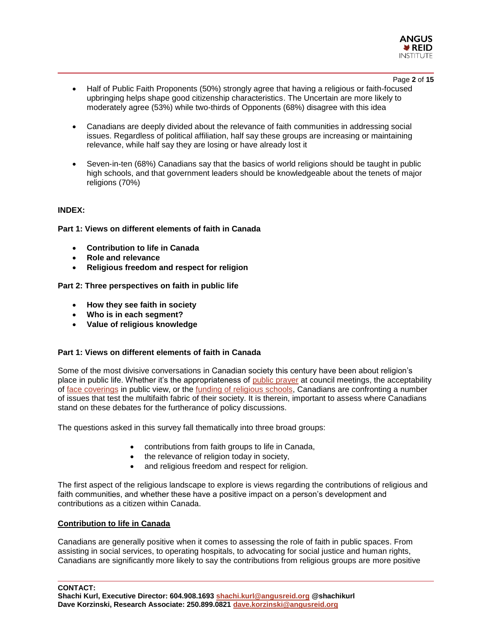

#### Page **2** of **15**

- Half of Public Faith Proponents (50%) strongly agree that having a religious or faith-focused upbringing helps shape good citizenship characteristics. The Uncertain are more likely to moderately agree (53%) while two-thirds of Opponents (68%) disagree with this idea
- Canadians are deeply divided about the relevance of faith communities in addressing social issues. Regardless of political affiliation, half say these groups are increasing or maintaining relevance, while half say they are losing or have already lost it
- Seven-in-ten (68%) Canadians say that the basics of world religions should be taught in public high schools, and that government leaders should be knowledgeable about the tenets of major religions (70%)

## **INDEX:**

**Part 1: Views on different elements of faith in Canada**

- **Contribution to life in Canada**
- **Role and relevance**
- **Religious freedom and respect for religion**

**Part 2: Three perspectives on faith in public life**

- **How they see faith in society**
- **Who is in each segment?**
- **Value of religious knowledge**

# **Part 1: Views on different elements of faith in Canada**

Some of the most divisive conversations in Canadian society this century have been about religion's place in public life. Whether it's the appropriateness of [public prayer](http://angusreid.org/public-prayer/) at council meetings, the acceptability of [face coverings](http://angusreid.org/bill-62-face-covering/) in public view, or the [funding of religious schools,](http://angusreid.org/funding-religious-schools-majority-canadians-say-least-public-dollars-provided/) Canadians are confronting a number of issues that test the multifaith fabric of their society. It is therein, important to assess where Canadians stand on these debates for the furtherance of policy discussions.

The questions asked in this survey fall thematically into three broad groups:

- contributions from faith groups to life in Canada,
- the relevance of religion today in society,
- and religious freedom and respect for religion.

The first aspect of the religious landscape to explore is views regarding the contributions of religious and faith communities, and whether these have a positive impact on a person's development and contributions as a citizen within Canada.

#### **Contribution to life in Canada**

Canadians are generally positive when it comes to assessing the role of faith in public spaces. From assisting in social services, to operating hospitals, to advocating for social justice and human rights, Canadians are significantly more likely to say the contributions from religious groups are more positive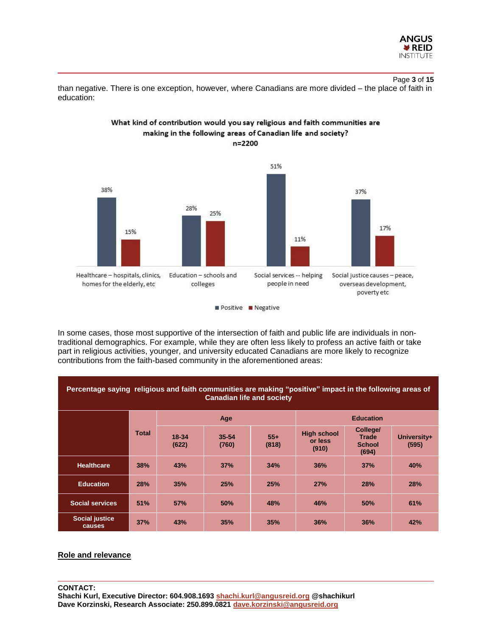

# Page **3** of **15**

than negative. There is one exception, however, where Canadians are more divided – the place of faith in education:

What kind of contribution would you say religious and faith communities are



#### Positive **Negative**

In some cases, those most supportive of the intersection of faith and public life are individuals in nontraditional demographics. For example, while they are often less likely to profess an active faith or take part in religious activities, younger, and university educated Canadians are more likely to recognize contributions from the faith-based community in the aforementioned areas:

| Percentage saying religious and faith communities are making "positive" impact in the following areas of<br><b>Canadian life and society</b> |              |                |                |                |                                        |                                                    |                      |
|----------------------------------------------------------------------------------------------------------------------------------------------|--------------|----------------|----------------|----------------|----------------------------------------|----------------------------------------------------|----------------------|
|                                                                                                                                              |              | Age            |                |                | <b>Education</b>                       |                                                    |                      |
|                                                                                                                                              | <b>Total</b> | 18-34<br>(622) | 35-54<br>(760) | $55+$<br>(818) | <b>High school</b><br>or less<br>(910) | College/<br><b>Trade</b><br><b>School</b><br>(694) | University+<br>(595) |
| <b>Healthcare</b>                                                                                                                            | 38%          | 43%            | 37%            | 34%            | 36%                                    | 37%                                                | 40%                  |
| <b>Education</b>                                                                                                                             | 28%          | 35%            | 25%            | 25%            | 27%                                    | <b>28%</b>                                         | <b>28%</b>           |
| <b>Social services</b>                                                                                                                       | 51%          | 57%            | 50%            | 48%            | 46%                                    | 50%                                                | 61%                  |
| <b>Social justice</b><br>causes                                                                                                              | 37%          | 43%            | 35%            | 35%            | 36%                                    | 36%                                                | 42%                  |

#### **Role and relevance**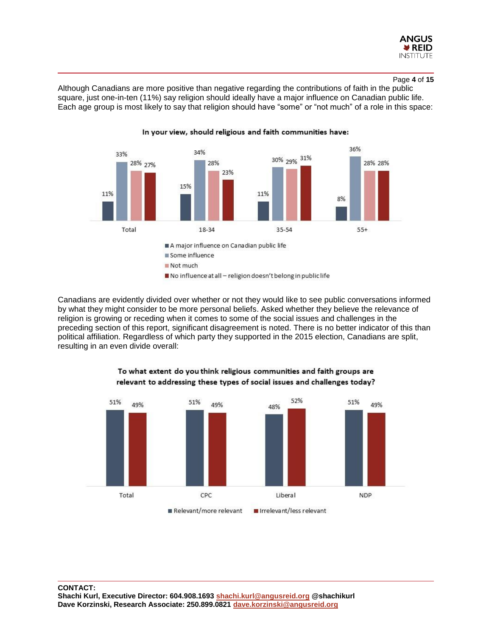

Although Canadians are more positive than negative regarding the contributions of faith in the public square, just one-in-ten (11%) say religion should ideally have a major influence on Canadian public life. Each age group is most likely to say that religion should have "some" or "not much" of a role in this space:



In your view, should religious and faith communities have:

Canadians are evidently divided over whether or not they would like to see public conversations informed by what they might consider to be more personal beliefs. Asked whether they believe the relevance of religion is growing or receding when it comes to some of the social issues and challenges in the preceding section of this report, significant disagreement is noted. There is no better indicator of this than political affiliation. Regardless of which party they supported in the 2015 election, Canadians are split, resulting in an even divide overall:



## To what extent do you think religious communities and faith groups are relevant to addressing these types of social issues and challenges today?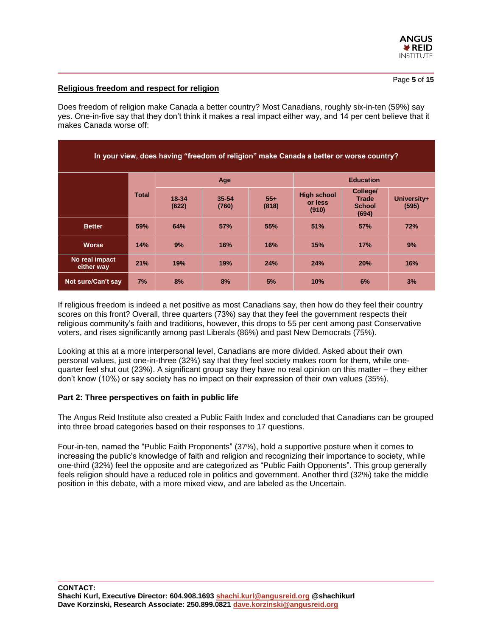

# **Religious freedom and respect for religion**

Does freedom of religion make Canada a better country? Most Canadians, roughly six-in-ten (59%) say yes. One-in-five say that they don't think it makes a real impact either way, and 14 per cent believe that it makes Canada worse off:

| In your view, does having "freedom of religion" make Canada a better or worse country? |              |                |                    |                |                                        |                                                    |                      |
|----------------------------------------------------------------------------------------|--------------|----------------|--------------------|----------------|----------------------------------------|----------------------------------------------------|----------------------|
|                                                                                        | <b>Total</b> | Age            |                    |                | <b>Education</b>                       |                                                    |                      |
|                                                                                        |              | 18-34<br>(622) | $35 - 54$<br>(760) | $55+$<br>(818) | <b>High school</b><br>or less<br>(910) | College/<br><b>Trade</b><br><b>School</b><br>(694) | University+<br>(595) |
| <b>Better</b>                                                                          | 59%          | 64%            | 57%                | 55%            | 51%                                    | 57%                                                | 72%                  |
| <b>Worse</b>                                                                           | 14%          | 9%             | 16%                | 16%            | 15%                                    | 17%                                                | 9%                   |
| No real impact<br>either way                                                           | 21%          | 19%            | 19%                | 24%            | 24%                                    | 20%                                                | 16%                  |
| Not sure/Can't say                                                                     | 7%           | 8%             | 8%                 | 5%             | 10%                                    | 6%                                                 | 3%                   |

If religious freedom is indeed a net positive as most Canadians say, then how do they feel their country scores on this front? Overall, three quarters (73%) say that they feel the government respects their religious community's faith and traditions, however, this drops to 55 per cent among past Conservative voters, and rises significantly among past Liberals (86%) and past New Democrats (75%).

Looking at this at a more interpersonal level, Canadians are more divided. Asked about their own personal values, just one-in-three (32%) say that they feel society makes room for them, while onequarter feel shut out (23%). A significant group say they have no real opinion on this matter – they either don't know (10%) or say society has no impact on their expression of their own values (35%).

#### **Part 2: Three perspectives on faith in public life**

The Angus Reid Institute also created a Public Faith Index and concluded that Canadians can be grouped into three broad categories based on their responses to 17 questions.

Four-in-ten, named the "Public Faith Proponents" (37%), hold a supportive posture when it comes to increasing the public's knowledge of faith and religion and recognizing their importance to society, while one-third (32%) feel the opposite and are categorized as "Public Faith Opponents". This group generally feels religion should have a reduced role in politics and government. Another third (32%) take the middle position in this debate, with a more mixed view, and are labeled as the Uncertain.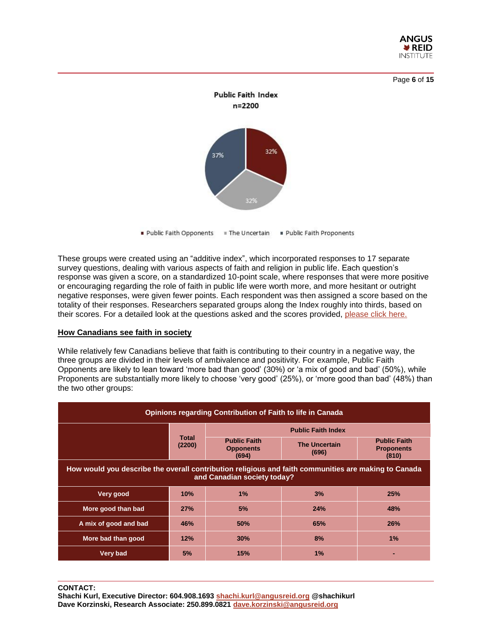





Public Faith Opponents Fhe Uncertain Fublic Faith Proponents

These groups were created using an "additive index", which incorporated responses to 17 separate survey questions, dealing with various aspects of faith and religion in public life. Each question's response was given a score, on a standardized 10-point scale, where responses that were more positive or encouraging regarding the role of faith in public life were worth more, and more hesitant or outright negative responses, were given fewer points. Each respondent was then assigned a score based on the totality of their responses. Researchers separated groups along the Index roughly into thirds, based on their scores. For a detailed look at the questions asked and the scores provided, [please click here.](http://angusreid.org/wp-content/uploads/2018/11/2018.11.19_Faith_Index_Methodology.pdf)

#### **How Canadians see faith in society**

While relatively few Canadians believe that faith is contributing to their country in a negative way, the three groups are divided in their levels of ambivalence and positivity. For example, Public Faith Opponents are likely to lean toward 'more bad than good' (30%) or 'a mix of good and bad' (50%), while Proponents are substantially more likely to choose 'very good' (25%), or 'more good than bad' (48%) than the two other groups:

| <b>Opinions regarding Contribution of Faith to life in Canada</b>                                                                   |                        |                                                  |                               |                                                   |  |  |
|-------------------------------------------------------------------------------------------------------------------------------------|------------------------|--------------------------------------------------|-------------------------------|---------------------------------------------------|--|--|
|                                                                                                                                     |                        | <b>Public Faith Index</b>                        |                               |                                                   |  |  |
|                                                                                                                                     | <b>Total</b><br>(2200) | <b>Public Faith</b><br><b>Opponents</b><br>(694) | <b>The Uncertain</b><br>(696) | <b>Public Faith</b><br><b>Proponents</b><br>(810) |  |  |
| How would you describe the overall contribution religious and faith communities are making to Canada<br>and Canadian society today? |                        |                                                  |                               |                                                   |  |  |
| Very good                                                                                                                           | 10%                    | $1\%$                                            | 3%                            | 25%                                               |  |  |
| More good than bad                                                                                                                  | 27%                    | 5%                                               | 24%                           | 48%                                               |  |  |
| A mix of good and bad                                                                                                               | 46%                    | 50%                                              | 65%                           | 26%                                               |  |  |
| More bad than good                                                                                                                  | 12%                    | 30%                                              | 8%                            | 1%                                                |  |  |
| <b>Very bad</b>                                                                                                                     | 5%                     | 15%                                              | 1%                            | -                                                 |  |  |

**CONTACT:** 

**Shachi Kurl, Executive Director: 604.908.1693 [shachi.kurl@angusreid.org](mailto:shachi.kurl@angusreid.org) @shachikurl Dave Korzinski, Research Associate: 250.899.0821 [dave.korzinski@angusreid.org](mailto:dave.korzinski@angusreid.org)**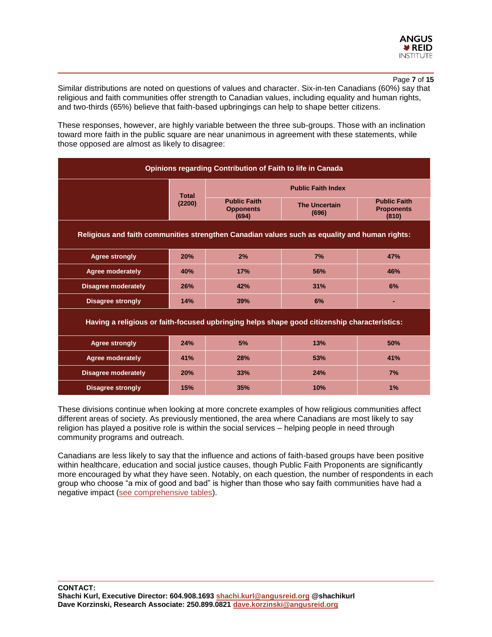

#### Page **7** of **15**

Similar distributions are noted on questions of values and character. Six-in-ten Canadians (60%) say that religious and faith communities offer strength to Canadian values, including equality and human rights, and two-thirds (65%) believe that faith-based upbringings can help to shape better citizens.

These responses, however, are highly variable between the three sub-groups. Those with an inclination toward more faith in the public square are near unanimous in agreement with these statements, while those opposed are almost as likely to disagree:

| <b>Opinions regarding Contribution of Faith to life in Canada</b>                             |              |                                                  |                               |                                                   |  |  |  |
|-----------------------------------------------------------------------------------------------|--------------|--------------------------------------------------|-------------------------------|---------------------------------------------------|--|--|--|
|                                                                                               | <b>Total</b> | <b>Public Faith Index</b>                        |                               |                                                   |  |  |  |
|                                                                                               | (2200)       | <b>Public Faith</b><br><b>Opponents</b><br>(694) | <b>The Uncertain</b><br>(696) | <b>Public Faith</b><br><b>Proponents</b><br>(810) |  |  |  |
| Religious and faith communities strengthen Canadian values such as equality and human rights: |              |                                                  |                               |                                                   |  |  |  |
| <b>Agree strongly</b>                                                                         | 20%          | 2%                                               | 7%                            | 47%                                               |  |  |  |
| Agree moderately                                                                              | 40%          | 17%                                              | 56%                           | 46%                                               |  |  |  |
| <b>Disagree moderately</b>                                                                    | 26%          | 42%                                              | 31%                           | 6%                                                |  |  |  |
| <b>Disagree strongly</b>                                                                      | 14%          | 39%                                              | 6%                            |                                                   |  |  |  |
| Having a religious or faith-focused upbringing helps shape good citizenship characteristics:  |              |                                                  |                               |                                                   |  |  |  |
| <b>Agree strongly</b>                                                                         | 24%          | 5%                                               | 13%                           | 50%                                               |  |  |  |
| Agree moderately                                                                              | 41%          | 28%                                              | 53%                           | 41%                                               |  |  |  |
| <b>Disagree moderately</b>                                                                    | 20%          | 33%                                              | 24%                           | 7%                                                |  |  |  |
| <b>Disagree strongly</b>                                                                      | 15%          | 35%                                              | 10%                           | 1%                                                |  |  |  |

These divisions continue when looking at more concrete examples of how religious communities affect different areas of society. As previously mentioned, the area where Canadians are most likely to say religion has played a positive role is within the social services – helping people in need through community programs and outreach.

Canadians are less likely to say that the influence and actions of faith-based groups have been positive within healthcare, education and social justice causes, though Public Faith Proponents are significantly more encouraged by what they have seen. Notably, on each question, the number of respondents in each group who choose "a mix of good and bad" is higher than those who say faith communities have had a negative impact [\(see comprehensive tables\)](http://angusreid.org/wp-content/uploads/2018/11/2018.11.13-CardusFinal-ReleaseTables.pdf).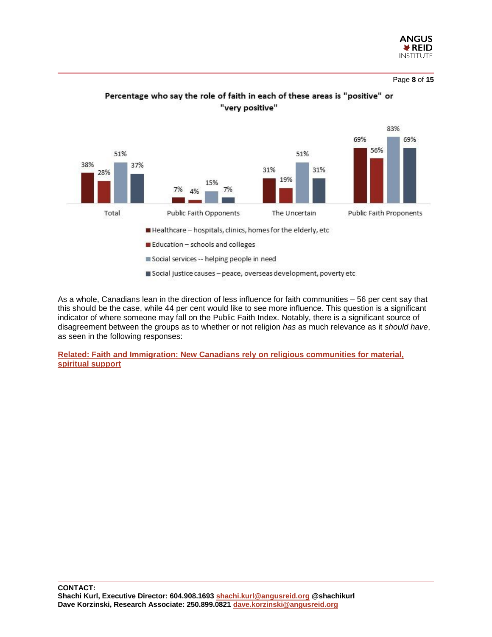

Page **8** of **15**



# Percentage who say the role of faith in each of these areas is "positive" or "very positive"

As a whole, Canadians lean in the direction of less influence for faith communities – 56 per cent say that this should be the case, while 44 per cent would like to see more influence. This question is a significant indicator of where someone may fall on the Public Faith Index. Notably, there is a significant source of disagreement between the groups as to whether or not religion *has* as much relevance as it *should have*, as seen in the following responses:

**Related: [Faith and Immigration: New Canadians rely on religious communities for material,](http://angusreid.org/faith-canada-immigration/)  [spiritual support](http://angusreid.org/faith-canada-immigration/)**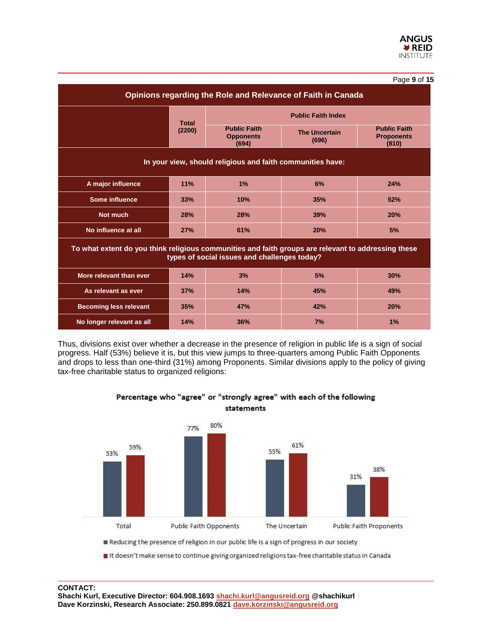|                                                                                                                                                     |              |                                                  |                               | Page 9 of 15                                      |  |  |
|-----------------------------------------------------------------------------------------------------------------------------------------------------|--------------|--------------------------------------------------|-------------------------------|---------------------------------------------------|--|--|
| Opinions regarding the Role and Relevance of Faith in Canada                                                                                        |              |                                                  |                               |                                                   |  |  |
|                                                                                                                                                     | <b>Total</b> | <b>Public Faith Index</b>                        |                               |                                                   |  |  |
|                                                                                                                                                     | (2200)       | <b>Public Faith</b><br><b>Opponents</b><br>(694) | <b>The Uncertain</b><br>(696) | <b>Public Faith</b><br><b>Proponents</b><br>(810) |  |  |
| In your view, should religious and faith communities have:                                                                                          |              |                                                  |                               |                                                   |  |  |
| A major influence                                                                                                                                   | 11%          | 1%                                               | 6%                            | 24%                                               |  |  |
| Some influence                                                                                                                                      | 33%          | 10%                                              | 35%                           | 52%                                               |  |  |
| Not much                                                                                                                                            | 28%          | 28%                                              | 39%                           | 20%                                               |  |  |
| No influence at all                                                                                                                                 | 27%          | 61%                                              | 20%                           | 5%                                                |  |  |
| To what extent do you think religious communities and faith groups are relevant to addressing these<br>types of social issues and challenges today? |              |                                                  |                               |                                                   |  |  |
| More relevant than ever                                                                                                                             | 14%          | 3%                                               | 5%                            | 30%                                               |  |  |
| As relevant as ever                                                                                                                                 | 37%          | 14%                                              | 45%                           | 49%                                               |  |  |
| <b>Becoming less relevant</b>                                                                                                                       | 35%          | 47%                                              | 42%                           | 20%                                               |  |  |
| No longer relevant as all                                                                                                                           | 14%          | 36%                                              | 7%                            | 1%                                                |  |  |

Thus, divisions exist over whether a decrease in the presence of religion in public life is a sign of social progress. Half (53%) believe it is, but this view jumps to three-quarters among Public Faith Opponents and drops to less than one-third (31%) among Proponents. Similar divisions apply to the policy of giving tax-free charitable status to organized religions:



Percentage who "agree" or "strongly agree" with each of the following statements

#### **CONTACT:**

**Shachi Kurl, Executive Director: 604.908.1693 [shachi.kurl@angusreid.org](mailto:shachi.kurl@angusreid.org) @shachikurl Dave Korzinski, Research Associate: 250.899.0821 [dave.korzinski@angusreid.org](mailto:dave.korzinski@angusreid.org)**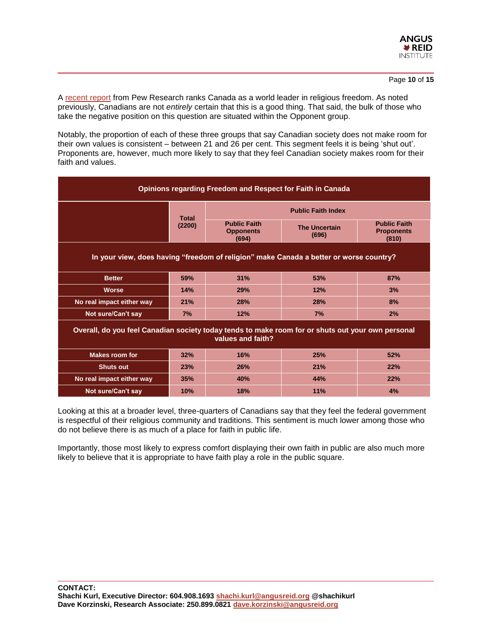

A [recent report](http://www.pewforum.org/2018/06/21/americas-the-only-region-with-a-rise-in-both-government-restrictions-and-social-hostilities-involving-religion-in-2016/) from Pew Research ranks Canada as a world leader in religious freedom. As noted previously, Canadians are not *entirely* certain that this is a good thing. That said, the bulk of those who take the negative position on this question are situated within the Opponent group.

Notably, the proportion of each of these three groups that say Canadian society does not make room for their own values is consistent – between 21 and 26 per cent. This segment feels it is being 'shut out'. Proponents are, however, much more likely to say that they feel Canadian society makes room for their faith and values.

| <b>Opinions regarding Freedom and Respect for Faith in Canada</b>                                                      |              |                                                  |                               |                                                   |  |  |  |
|------------------------------------------------------------------------------------------------------------------------|--------------|--------------------------------------------------|-------------------------------|---------------------------------------------------|--|--|--|
|                                                                                                                        | <b>Total</b> | <b>Public Faith Index</b>                        |                               |                                                   |  |  |  |
|                                                                                                                        | (2200)       | <b>Public Faith</b><br><b>Opponents</b><br>(694) | <b>The Uncertain</b><br>(696) | <b>Public Faith</b><br><b>Proponents</b><br>(810) |  |  |  |
| In your view, does having "freedom of religion" make Canada a better or worse country?                                 |              |                                                  |                               |                                                   |  |  |  |
| <b>Better</b>                                                                                                          | 59%          | 31%                                              | 53%                           | 87%                                               |  |  |  |
| <b>Worse</b>                                                                                                           | 14%          | 29%                                              | 12%                           | 3%                                                |  |  |  |
| No real impact either way                                                                                              | 21%          | 28%                                              | 28%                           | 8%                                                |  |  |  |
| Not sure/Can't say                                                                                                     | 7%           | 12%                                              | 7%                            | 2%                                                |  |  |  |
| Overall, do you feel Canadian society today tends to make room for or shuts out your own personal<br>values and faith? |              |                                                  |                               |                                                   |  |  |  |
| <b>Makes room for</b>                                                                                                  | 32%          | 16%                                              | 25%                           | 52%                                               |  |  |  |
| <b>Shuts out</b>                                                                                                       | 23%          | 26%                                              | 21%                           | 22%                                               |  |  |  |
| No real impact either way                                                                                              | 35%          | 40%                                              | 44%                           | 22%                                               |  |  |  |
| Not sure/Can't say                                                                                                     | 10%          | 18%                                              | 11%                           | 4%                                                |  |  |  |

Looking at this at a broader level, three-quarters of Canadians say that they feel the federal government is respectful of their religious community and traditions. This sentiment is much lower among those who do not believe there is as much of a place for faith in public life.

Importantly, those most likely to express comfort displaying their own faith in public are also much more likely to believe that it is appropriate to have faith play a role in the public square.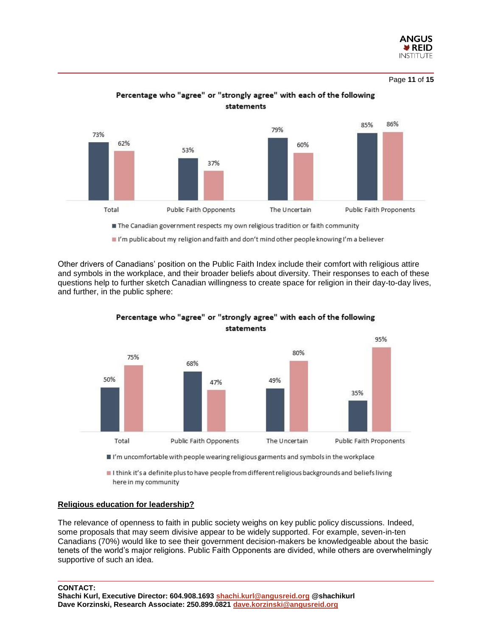

Page **11** of **15**



Percentage who "agree" or "strongly agree" with each of the following statements

Other drivers of Canadians' position on the Public Faith Index include their comfort with religious attire and symbols in the workplace, and their broader beliefs about diversity. Their responses to each of these questions help to further sketch Canadian willingness to create space for religion in their day-to-day lives, and further, in the public sphere:



Percentage who "agree" or "strongly agree" with each of the following statements

I I think it's a definite plus to have people from different religious backgrounds and beliefs living

#### **Religious education for leadership?**

The relevance of openness to faith in public society weighs on key public policy discussions. Indeed, some proposals that may seem divisive appear to be widely supported. For example, seven-in-ten Canadians (70%) would like to see their government decision-makers be knowledgeable about the basic tenets of the world's major religions. Public Faith Opponents are divided, while others are overwhelmingly supportive of such an idea.

**CONTACT:** 

here in my community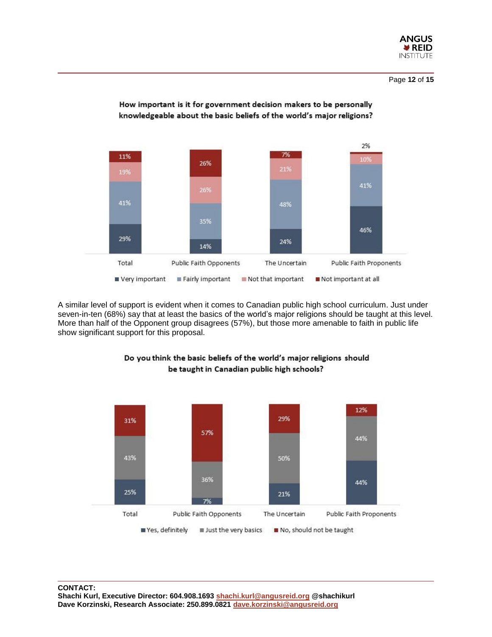



How important is it for government decision makers to be personally knowledgeable about the basic beliefs of the world's major religions?

A similar level of support is evident when it comes to Canadian public high school curriculum. Just under seven-in-ten (68%) say that at least the basics of the world's major religions should be taught at this level. More than half of the Opponent group disagrees (57%), but those more amenable to faith in public life show significant support for this proposal.



Do you think the basic beliefs of the world's major religions should be taught in Canadian public high schools?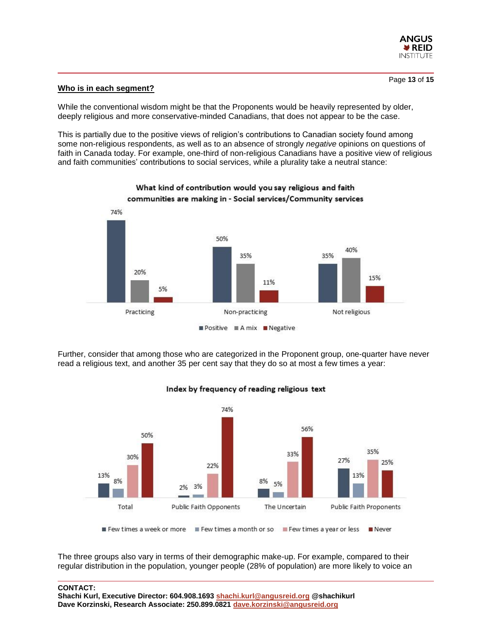

#### **Who is in each segment?**

While the conventional wisdom might be that the Proponents would be heavily represented by older, deeply religious and more conservative-minded Canadians, that does not appear to be the case.

This is partially due to the positive views of religion's contributions to Canadian society found among some non-religious respondents, as well as to an absence of strongly *negative* opinions on questions of faith in Canada today. For example, one-third of non-religious Canadians have a positive view of religious and faith communities' contributions to social services, while a plurality take a neutral stance:



Further, consider that among those who are categorized in the Proponent group, one-quarter have never read a religious text, and another 35 per cent say that they do so at most a few times a year:



Index by frequency of reading religious text

The three groups also vary in terms of their demographic make-up. For example, compared to their regular distribution in the population, younger people (28% of population) are more likely to voice an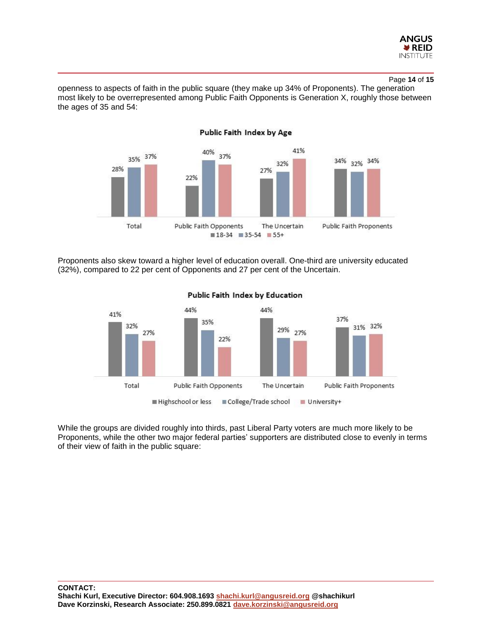

#### Page **14** of **15**

openness to aspects of faith in the public square (they make up 34% of Proponents). The generation most likely to be overrepresented among Public Faith Opponents is Generation X, roughly those between the ages of 35 and 54:



Proponents also skew toward a higher level of education overall. One-third are university educated (32%), compared to 22 per cent of Opponents and 27 per cent of the Uncertain.



#### Public Faith Index by Education

While the groups are divided roughly into thirds, past Liberal Party voters are much more likely to be Proponents, while the other two major federal parties' supporters are distributed close to evenly in terms of their view of faith in the public square: